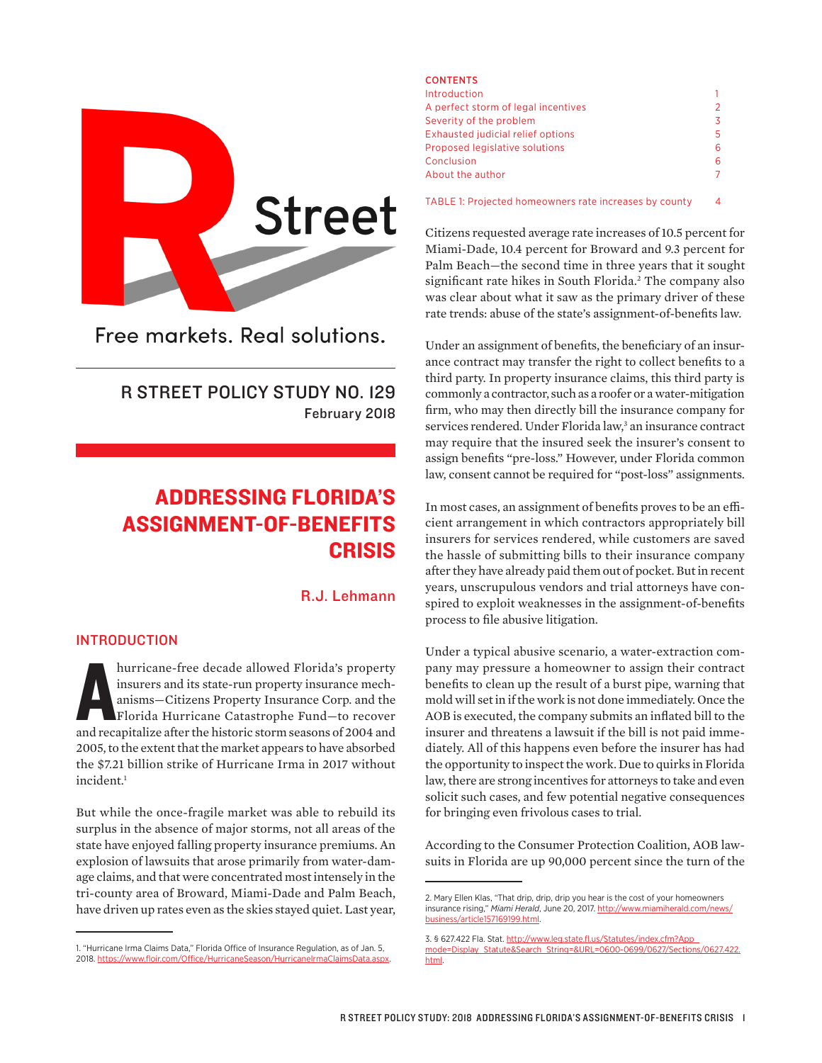

Free markets, Real solutions.

R STREET POLICY STUDY NO. 129 February 2018

# ADDRESSING FLORIDA'S ASSIGNMENT-OF-BENEFITS CRISIS

R.J. Lehmann

## INTRODUCTION

hurricane-free decade allowed Florida's property insurens and its state-run property insurance mechanisms—Citizens Property Insurance Corp. and the Florida Hurricane Catastrophe Fund—to recover and recapitalize after the h insurers and its state-run property insurance mechanisms—Citizens Property Insurance Corp. and the Florida Hurricane Catastrophe Fund—to recover and recapitalize after the historic storm seasons of 2004 and 2005, to the extent that the market appears to have absorbed the \$7.21 billion strike of Hurricane Irma in 2017 without incident.1

But while the once-fragile market was able to rebuild its surplus in the absence of major storms, not all areas of the state have enjoyed falling property insurance premiums. An explosion of lawsuits that arose primarily from water-damage claims, and that were concentrated most intensely in the tri-county area of Broward, Miami-Dade and Palm Beach, have driven up rates even as the skies stayed quiet. Last year,

#### CONTENTS

| Introduction                             |               |
|------------------------------------------|---------------|
| A perfect storm of legal incentives      | $\mathcal{P}$ |
| Severity of the problem                  | 3             |
| <b>Exhausted judicial relief options</b> | 5.            |
| Proposed legislative solutions           | 6             |
| Conclusion                               | 6             |
| About the author                         |               |
|                                          |               |

TABLE 1: Projected homeowners rate increases by county 4

Citizens requested average rate increases of 10.5 percent for Miami-Dade, 10.4 percent for Broward and 9.3 percent for Palm Beach—the second time in three years that it sought significant rate hikes in South Florida.<sup>2</sup> The company also was clear about what it saw as the primary driver of these rate trends: abuse of the state's assignment-of-benefits law.

Under an assignment of benefits, the beneficiary of an insurance contract may transfer the right to collect benefits to a third party. In property insurance claims, this third party is commonly a contractor, such as a roofer or a water-mitigation firm, who may then directly bill the insurance company for services rendered. Under Florida law,<sup>3</sup> an insurance contract may require that the insured seek the insurer's consent to assign benefits "pre-loss." However, under Florida common law, consent cannot be required for "post-loss" assignments.

In most cases, an assignment of benefits proves to be an efficient arrangement in which contractors appropriately bill insurers for services rendered, while customers are saved the hassle of submitting bills to their insurance company after they have already paid them out of pocket. But in recent years, unscrupulous vendors and trial attorneys have conspired to exploit weaknesses in the assignment-of-benefits process to file abusive litigation.

Under a typical abusive scenario, a water-extraction company may pressure a homeowner to assign their contract benefits to clean up the result of a burst pipe, warning that mold will set in if the work is not done immediately. Once the AOB is executed, the company submits an inflated bill to the insurer and threatens a lawsuit if the bill is not paid immediately. All of this happens even before the insurer has had the opportunity to inspect the work. Due to quirks in Florida law, there are strong incentives for attorneys to take and even solicit such cases, and few potential negative consequences for bringing even frivolous cases to trial.

According to the Consumer Protection Coalition, AOB lawsuits in Florida are up 90,000 percent since the turn of the

<sup>1. &</sup>quot;Hurricane Irma Claims Data," Florida Office of Insurance Regulation, as of Jan. 5, 2018. <https://www.floir.com/Office/HurricaneSeason/HurricaneIrmaClaimsData.aspx>.

<sup>2.</sup> Mary Ellen Klas, "That drip, drip, drip you hear is the cost of your homeowners insurance rising," *Miami Herald*, June 20, 2017. [http://www.miamiherald.com/news/](http://www.miamiherald.com/news/business/article157169199.html) [business/article157169199.html.](http://www.miamiherald.com/news/business/article157169199.html)

<sup>3. § 627.422</sup> Fla. Stat. [http://www.leg.state.fl.us/Statutes/index.cfm?App\\_](http://www.leg.state.fl.us/Statutes/index.cfm?App_mode=Display_Statute&Search_String=&URL=0600-0699/0627/Sections/0627.422.html) [mode=Display\\_Statute&Search\\_String=&URL=0600-0699/0627/Sections/0627.422.](http://www.leg.state.fl.us/Statutes/index.cfm?App_mode=Display_Statute&Search_String=&URL=0600-0699/0627/Sections/0627.422.html) [html.](http://www.leg.state.fl.us/Statutes/index.cfm?App_mode=Display_Statute&Search_String=&URL=0600-0699/0627/Sections/0627.422.html)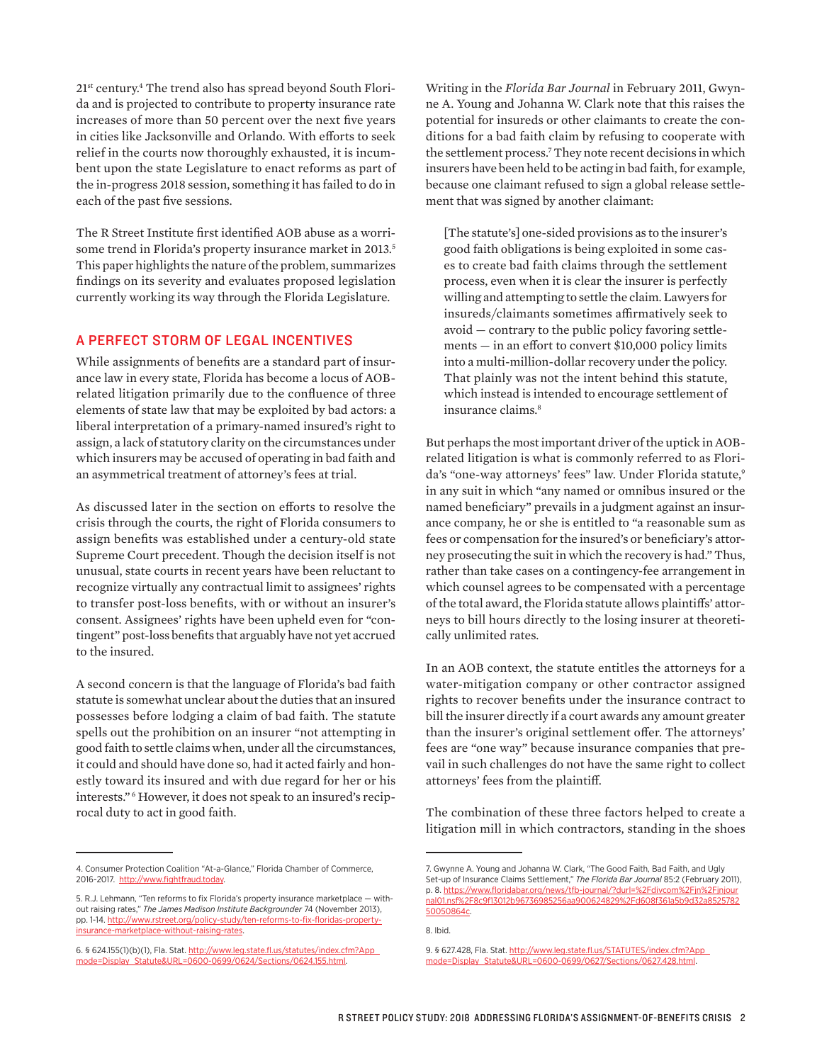21st century.4 The trend also has spread beyond South Florida and is projected to contribute to property insurance rate increases of more than 50 percent over the next five years in cities like Jacksonville and Orlando. With efforts to seek relief in the courts now thoroughly exhausted, it is incumbent upon the state Legislature to enact reforms as part of the in-progress 2018 session, something it has failed to do in each of the past five sessions.

The R Street Institute first identified AOB abuse as a worrisome trend in Florida's property insurance market in 2013.<sup>5</sup> This paper highlights the nature of the problem, summarizes findings on its severity and evaluates proposed legislation currently working its way through the Florida Legislature.

## A PERFECT STORM OF LEGAL INCENTIVES

While assignments of benefits are a standard part of insurance law in every state, Florida has become a locus of AOBrelated litigation primarily due to the confluence of three elements of state law that may be exploited by bad actors: a liberal interpretation of a primary-named insured's right to assign, a lack of statutory clarity on the circumstances under which insurers may be accused of operating in bad faith and an asymmetrical treatment of attorney's fees at trial.

As discussed later in the section on efforts to resolve the crisis through the courts, the right of Florida consumers to assign benefits was established under a century-old state Supreme Court precedent. Though the decision itself is not unusual, state courts in recent years have been reluctant to recognize virtually any contractual limit to assignees' rights to transfer post-loss benefits, with or without an insurer's consent. Assignees' rights have been upheld even for "contingent" post-loss benefits that arguably have not yet accrued to the insured.

A second concern is that the language of Florida's bad faith statute is somewhat unclear about the duties that an insured possesses before lodging a claim of bad faith. The statute spells out the prohibition on an insurer "not attempting in good faith to settle claims when, under all the circumstances, it could and should have done so, had it acted fairly and honestly toward its insured and with due regard for her or his interests." <sup>6</sup> However, it does not speak to an insured's reciprocal duty to act in good faith.

Writing in the *Florida Bar Journal* in February 2011, Gwynne A. Young and Johanna W. Clark note that this raises the potential for insureds or other claimants to create the conditions for a bad faith claim by refusing to cooperate with the settlement process.7 They note recent decisions in which insurers have been held to be acting in bad faith, for example, because one claimant refused to sign a global release settlement that was signed by another claimant:

[The statute's] one-sided provisions as to the insurer's good faith obligations is being exploited in some cases to create bad faith claims through the settlement process, even when it is clear the insurer is perfectly willing and attempting to settle the claim. Lawyers for insureds/claimants sometimes affirmatively seek to avoid — contrary to the public policy favoring settlements — in an effort to convert \$10,000 policy limits into a multi-million-dollar recovery under the policy. That plainly was not the intent behind this statute, which instead is intended to encourage settlement of insurance claims.<sup>8</sup>

But perhaps the most important driver of the uptick in AOBrelated litigation is what is commonly referred to as Florida's "one-way attorneys' fees" law. Under Florida statute,<sup>9</sup> in any suit in which "any named or omnibus insured or the named beneficiary" prevails in a judgment against an insurance company, he or she is entitled to "a reasonable sum as fees or compensation for the insured's or beneficiary's attorney prosecuting the suit in which the recovery is had." Thus, rather than take cases on a contingency-fee arrangement in which counsel agrees to be compensated with a percentage of the total award, the Florida statute allows plaintiffs' attorneys to bill hours directly to the losing insurer at theoretically unlimited rates.

In an AOB context, the statute entitles the attorneys for a water-mitigation company or other contractor assigned rights to recover benefits under the insurance contract to bill the insurer directly if a court awards any amount greater than the insurer's original settlement offer. The attorneys' fees are "one way" because insurance companies that prevail in such challenges do not have the same right to collect attorneys' fees from the plaintiff.

The combination of these three factors helped to create a litigation mill in which contractors, standing in the shoes

<sup>4.</sup> Consumer Protection Coalition "At-a-Glance," Florida Chamber of Commerce, 2016-2017. [http://www.fightfraud.today.](http://www.fightfraud.today)

<sup>5.</sup> R.J. Lehmann, "Ten reforms to fix Florida's property insurance marketplace — without raising rates," *The James Madison Institute Backgrounder* 74 (November 2013), pp. 1-14. [http://www.rstreet.org/policy-study/ten-reforms-to-fix-floridas-property](http://www.rstreet.org/policy-study/ten-reforms-to-fix-floridas-property-insurance-marketplace-without-raising-rates)[insurance-marketplace-without-raising-rates.](http://www.rstreet.org/policy-study/ten-reforms-to-fix-floridas-property-insurance-marketplace-without-raising-rates)

<sup>6. § 624.155(1)(</sup>b)(1), Fla. Stat. [http://www.leg.state.fl.us/statutes/index.cfm?App\\_](http://www.leg.state.fl.us/statutes/index.cfm?App_mode=Display_Statute&URL=0600-0699/0624/Sections/0624.155.html) [mode=Display\\_Statute&URL=0600-0699/0624/Sections/0624.155.html](http://www.leg.state.fl.us/statutes/index.cfm?App_mode=Display_Statute&URL=0600-0699/0624/Sections/0624.155.html).

<sup>7.</sup> Gwynne A. Young and Johanna W. Clark, "The Good Faith, Bad Faith, and Ugly Set-up of Insurance Claims Settlement," *The Florida Bar Journal* 85:2 (February 2011), p. 8. [https://www.floridabar.org/news/tfb-journal/?durl=%2Fdivcom%2Fjn%2Fjnjour](https://www.floridabar.org/news/tfb-journal/?durl=%2Fdivcom%2Fjn%2Fjnjournal01.nsf%2F8c9f13012b96736985256aa900624829%2Fd608f361a5b9d32a852578250050864c) [nal01.nsf%2F8c9f13012b96736985256aa900624829%2Fd608f361a5b9d32a8525782](https://www.floridabar.org/news/tfb-journal/?durl=%2Fdivcom%2Fjn%2Fjnjournal01.nsf%2F8c9f13012b96736985256aa900624829%2Fd608f361a5b9d32a852578250050864c) [50050864c](https://www.floridabar.org/news/tfb-journal/?durl=%2Fdivcom%2Fjn%2Fjnjournal01.nsf%2F8c9f13012b96736985256aa900624829%2Fd608f361a5b9d32a852578250050864c).

<sup>8.</sup> Ibid.

<sup>9. § 627.428,</sup> Fla. Stat. http://www.leg.state.fl.us/STATUTES/index.cfm?App [mode=Display\\_Statute&URL=0600-0699/0627/Sections/0627.428.html](http://www.leg.state.fl.us/STATUTES/index.cfm?App_mode=Display_Statute&URL=0600-0699/0627/Sections/0627.428.html).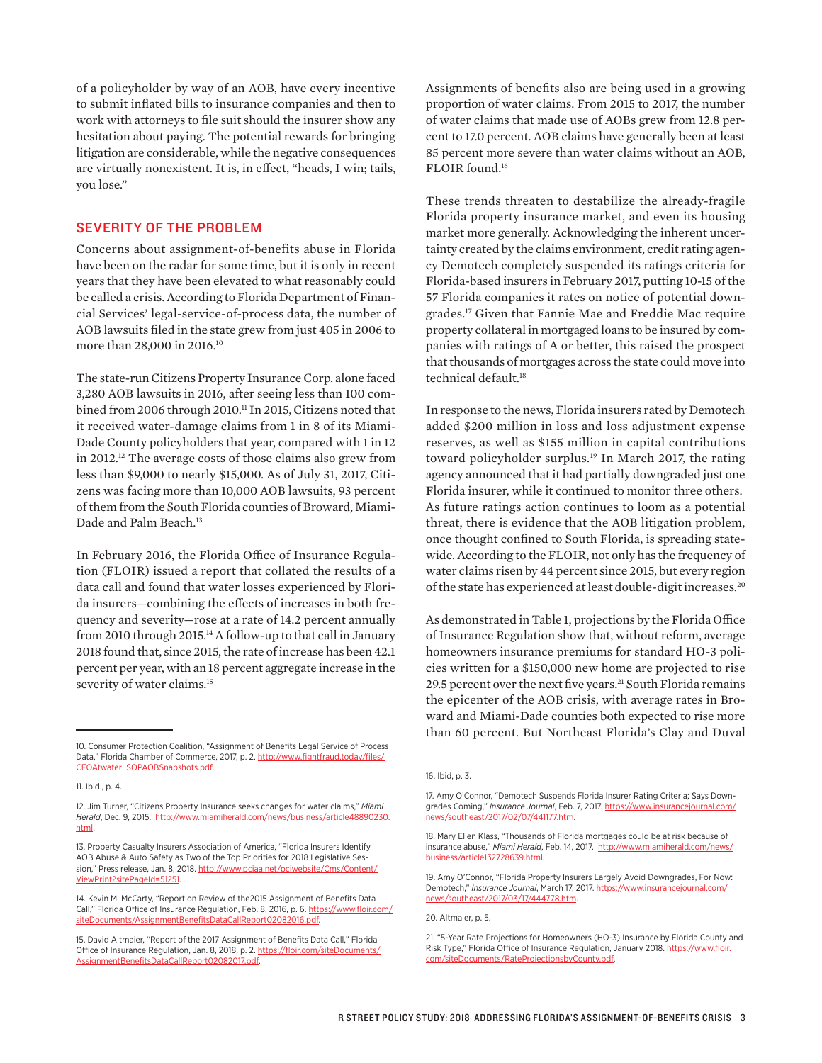of a policyholder by way of an AOB, have every incentive to submit inflated bills to insurance companies and then to work with attorneys to file suit should the insurer show any hesitation about paying. The potential rewards for bringing litigation are considerable, while the negative consequences are virtually nonexistent. It is, in effect, "heads, I win; tails, you lose."

## SEVERITY OF THE PROBLEM

Concerns about assignment-of-benefits abuse in Florida have been on the radar for some time, but it is only in recent years that they have been elevated to what reasonably could be called a crisis. According to Florida Department of Financial Services' legal-service-of-process data, the number of AOB lawsuits filed in the state grew from just 405 in 2006 to more than 28,000 in 2016.10

The state-run Citizens Property Insurance Corp. alone faced 3,280 AOB lawsuits in 2016, after seeing less than 100 combined from 2006 through 2010.11 In 2015, Citizens noted that it received water-damage claims from 1 in 8 of its Miami-Dade County policyholders that year, compared with 1 in 12 in 2012.12 The average costs of those claims also grew from less than \$9,000 to nearly \$15,000. As of July 31, 2017, Citizens was facing more than 10,000 AOB lawsuits, 93 percent of them from the South Florida counties of Broward, Miami-Dade and Palm Beach.<sup>13</sup>

In February 2016, the Florida Office of Insurance Regulation (FLOIR) issued a report that collated the results of a data call and found that water losses experienced by Florida insurers—combining the effects of increases in both frequency and severity—rose at a rate of 14.2 percent annually from 2010 through 2015.<sup>14</sup> A follow-up to that call in January 2018 found that, since 2015, the rate of increase has been 42.1 percent per year, with an 18 percent aggregate increase in the severity of water claims.<sup>15</sup>

Assignments of benefits also are being used in a growing proportion of water claims. From 2015 to 2017, the number of water claims that made use of AOBs grew from 12.8 percent to 17.0 percent. AOB claims have generally been at least 85 percent more severe than water claims without an AOB, FLOIR found.16

These trends threaten to destabilize the already-fragile Florida property insurance market, and even its housing market more generally. Acknowledging the inherent uncertainty created by the claims environment, credit rating agency Demotech completely suspended its ratings criteria for Florida-based insurers in February 2017, putting 10-15 of the 57 Florida companies it rates on notice of potential downgrades.17 Given that Fannie Mae and Freddie Mac require property collateral in mortgaged loans to be insured by companies with ratings of A or better, this raised the prospect that thousands of mortgages across the state could move into technical default.<sup>18</sup>

In response to the news, Florida insurers rated by Demotech added \$200 million in loss and loss adjustment expense reserves, as well as \$155 million in capital contributions toward policyholder surplus.<sup>19</sup> In March 2017, the rating agency announced that it had partially downgraded just one Florida insurer, while it continued to monitor three others. As future ratings action continues to loom as a potential threat, there is evidence that the AOB litigation problem, once thought confined to South Florida, is spreading statewide. According to the FLOIR, not only has the frequency of water claims risen by 44 percent since 2015, but every region of the state has experienced at least double-digit increases.20

As demonstrated in Table 1, projections by the Florida Office of Insurance Regulation show that, without reform, average homeowners insurance premiums for standard HO-3 policies written for a \$150,000 new home are projected to rise 29.5 percent over the next five years.<sup>21</sup> South Florida remains the epicenter of the AOB crisis, with average rates in Broward and Miami-Dade counties both expected to rise more than 60 percent. But Northeast Florida's Clay and Duval

<sup>10.</sup> Consumer Protection Coalition, "Assignment of Benefits Legal Service of Process Data," Florida Chamber of Commerce, 2017, p. 2. [http://www.fightfraud.today/files/](http://www.fightfraud.today/files/CFOAtwaterLSOPAOBSnapshots.pdf) [CFOAtwaterLSOPAOBSnapshots.pdf](http://www.fightfraud.today/files/CFOAtwaterLSOPAOBSnapshots.pdf).

<sup>11.</sup> Ibid., p. 4.

<sup>12.</sup> Jim Turner, "Citizens Property Insurance seeks changes for water claims," *Miami Herald*, Dec. 9, 2015. [http://www.miamiherald.com/news/business/article48890230.](http://www.miamiherald.com/news/business/article48890230.html) [html](http://www.miamiherald.com/news/business/article48890230.html).

<sup>13.</sup> Property Casualty Insurers Association of America, "Florida Insurers Identify AOB Abuse & Auto Safety as Two of the Top Priorities for 2018 Legislative Session," Press release, Jan. 8, 2018. [http://www.pciaa.net/pciwebsite/Cms/Content/](http://www.pciaa.net/pciwebsite/Cms/Content/ViewPrint?sitePageId=51251) [ViewPrint?sitePageId=51251.](http://www.pciaa.net/pciwebsite/Cms/Content/ViewPrint?sitePageId=51251)

<sup>14.</sup> Kevin M. McCarty, "Report on Review of the2015 Assignment of Benefits Data Call," Florida Office of Insurance Regulation, Feb. 8, 2016, p. 6. [https://www.floir.com/](https://www.floir.com/siteDocuments/AssignmentBenefitsDataCallReport02082016.pdf) siteDocuments/AssignmentBenefitsDataCallReport02082

<sup>15.</sup> David Altmaier, "Report of the 2017 Assignment of Benefits Data Call," Florida Office of Insurance Regulation, Jan. 8, 2018, p. 2. [https://floir.com/siteDocuments/](https://floir.com/siteDocuments/AssignmentBenefitsDataCallReport02082017.pdf) [AssignmentBenefitsDataCallReport02082017.pdf.](https://floir.com/siteDocuments/AssignmentBenefitsDataCallReport02082017.pdf)

<sup>16.</sup> Ibid, p. 3.

<sup>17.</sup> Amy O'Connor, "Demotech Suspends Florida Insurer Rating Criteria; Says Downgrades Coming," *Insurance Journal*, Feb. 7, 2017. [https://www.insurancejournal.com/](https://www.insurancejournal.com/news/southeast/2017/02/07/441177.htm) [news/southeast/2017/02/07/441177.htm](https://www.insurancejournal.com/news/southeast/2017/02/07/441177.htm).

<sup>18.</sup> Mary Ellen Klass, "Thousands of Florida mortgages could be at risk because of insurance abuse," *Miami Herald*, Feb. 14, 2017. [http://www.miamiherald.com/news/](http://www.miamiherald.com/news/business/article132728639.html) [business/article132728639.html](http://www.miamiherald.com/news/business/article132728639.html).

<sup>19.</sup> Amy O'Connor, "Florida Property Insurers Largely Avoid Downgrades, For Now: Demotech," *Insurance Journal*, March 17, 2017. [https://www.insurancejournal.com/](https://www.insurancejournal.com/news/southeast/2017/03/17/444778.htm) [news/southeast/2017/03/17/444778.htm](https://www.insurancejournal.com/news/southeast/2017/03/17/444778.htm).

<sup>20.</sup> Altmaier, p. 5.

<sup>21. &</sup>quot;5-Year Rate Projections for Homeowners (HO-3) Insurance by Florida County and Risk Type," Florida Office of Insurance Regulation, January 2018. https://www.floir [com/siteDocuments/RateProjectionsbyCounty.pdf](https://www.floir.com/siteDocuments/RateProjectionsbyCounty.pdf).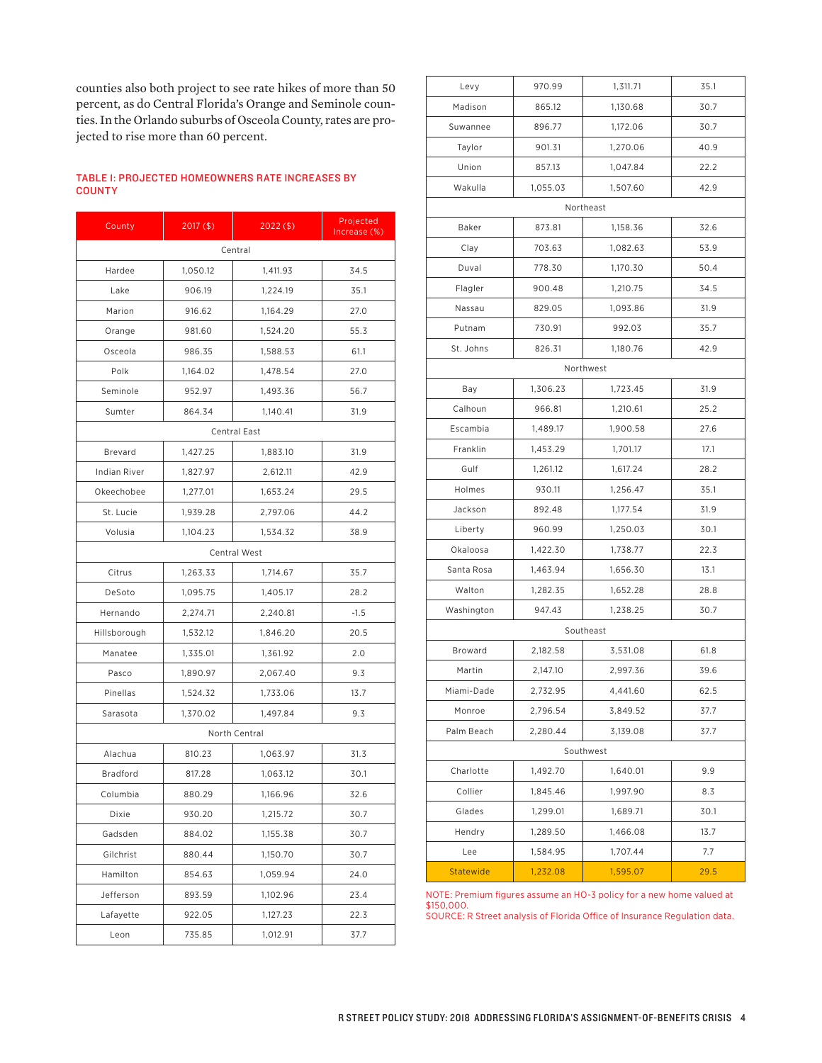counties also both project to see rate hikes of more than 50 percent, as do Central Florida's Orange and Seminole counties. In the Orlando suburbs of Osceola County, rates are projected to rise more than 60 percent.

#### TABLE 1: PROJECTED HOMEOWNERS RATE INCREASES BY **COUNTY**

| County          | $2017($ \$)         | $2022($ \$) | Projected<br>Increase (%) |  |  |  |
|-----------------|---------------------|-------------|---------------------------|--|--|--|
| Central         |                     |             |                           |  |  |  |
| Hardee          | 1,050.12            | 1,411.93    | 34.5                      |  |  |  |
| Lake            | 906.19              | 1,224.19    | 35.1                      |  |  |  |
| Marion          | 916.62              | 1,164.29    | 27.0                      |  |  |  |
| Orange          | 981.60              | 1,524.20    | 55.3                      |  |  |  |
| Osceola         | 986.35              | 1,588.53    | 61.1                      |  |  |  |
| Polk            | 1,164.02            | 1,478.54    | 27.0                      |  |  |  |
| Seminole        | 952.97              | 1,493.36    | 56.7                      |  |  |  |
| Sumter          | 864.34              | 1,140.41    | 31.9                      |  |  |  |
|                 | <b>Central East</b> |             |                           |  |  |  |
| Brevard         | 1,427.25            | 1,883.10    | 31.9                      |  |  |  |
| Indian River    | 1,827.97            | 2,612.11    | 42.9                      |  |  |  |
| Okeechobee      | 1,277.01            | 1,653.24    | 29.5                      |  |  |  |
| St. Lucie       | 1,939.28            | 2,797.06    | 44.2                      |  |  |  |
| Volusia         | 1,104.23            | 1,534.32    | 38.9                      |  |  |  |
| Central West    |                     |             |                           |  |  |  |
| Citrus          | 1,263.33            | 1,714.67    | 35.7                      |  |  |  |
| DeSoto          | 1,095.75            | 1,405.17    | 28.2                      |  |  |  |
| Hernando        | 2,274.71            | 2,240.81    | $-1.5$                    |  |  |  |
| Hillsborough    | 1,532.12            | 1,846.20    | 20.5                      |  |  |  |
| Manatee         | 1,335.01            | 1,361.92    | 2.0                       |  |  |  |
| Pasco           | 1,890.97            | 2,067.40    | 9.3                       |  |  |  |
| Pinellas        | 1,524.32            | 1,733.06    | 13.7                      |  |  |  |
| Sarasota        | 1,370.02            | 1,497.84    | 9.3                       |  |  |  |
| North Central   |                     |             |                           |  |  |  |
| Alachua         | 810.23              | 1,063.97    | 31.3                      |  |  |  |
| <b>Bradford</b> | 817.28              | 1,063.12    | 30.1                      |  |  |  |
| Columbia        | 880.29              | 1,166.96    | 32.6                      |  |  |  |
| Dixie           | 930.20              | 1,215.72    | 30.7                      |  |  |  |
| Gadsden         | 884.02              | 1,155.38    | 30.7                      |  |  |  |
| Gilchrist       | 880.44              | 1,150.70    | 30.7                      |  |  |  |
| Hamilton        | 854.63              | 1,059.94    | 24.0                      |  |  |  |
| Jefferson       | 893.59              | 1,102.96    | 23.4                      |  |  |  |
| Lafayette       | 922.05              | 1,127.23    | 22.3                      |  |  |  |
| Leon            | 735.85              | 1,012.91    | 37.7                      |  |  |  |

| Levy             | 970.99   | 1,311.71  | 35.1 |  |  |
|------------------|----------|-----------|------|--|--|
| Madison          | 865.12   | 1,130.68  | 30.7 |  |  |
| Suwannee         | 896.77   | 1,172.06  | 30.7 |  |  |
| Taylor           | 901.31   | 1,270.06  | 40.9 |  |  |
| Union            | 857.13   | 1,047.84  | 22.2 |  |  |
| Wakulla          | 1,055.03 | 1,507.60  | 42.9 |  |  |
|                  |          | Northeast |      |  |  |
| Baker            | 873.81   | 1,158.36  | 32.6 |  |  |
| Clay             | 703.63   | 1,082.63  | 53.9 |  |  |
| Duval            | 778.30   | 1,170.30  | 50.4 |  |  |
| Flagler          | 900.48   | 1,210.75  | 34.5 |  |  |
| Nassau           | 829.05   | 1,093.86  | 31.9 |  |  |
| Putnam           | 730.91   | 992.03    | 35.7 |  |  |
| St. Johns        | 826.31   | 1,180.76  | 42.9 |  |  |
| Northwest        |          |           |      |  |  |
| Bay              | 1,306.23 | 1,723.45  | 31.9 |  |  |
| Calhoun          | 966.81   | 1,210.61  | 25.2 |  |  |
| Escambia         | 1,489.17 | 1,900.58  | 27.6 |  |  |
| Franklin         | 1,453.29 | 1,701.17  | 17.1 |  |  |
| Gulf             | 1,261.12 | 1,617.24  | 28.2 |  |  |
| Holmes           | 930.11   | 1,256.47  | 35.1 |  |  |
| Jackson          | 892.48   | 1,177.54  | 31.9 |  |  |
| Liberty          | 960.99   | 1,250.03  | 30.1 |  |  |
| Okaloosa         | 1,422.30 | 1,738.77  | 22.3 |  |  |
| Santa Rosa       | 1,463.94 | 1,656.30  | 13.1 |  |  |
| Walton           | 1,282.35 | 1,652.28  | 28.8 |  |  |
| Washington       | 947.43   | 1,238.25  | 30.7 |  |  |
| Southeast        |          |           |      |  |  |
| Broward          | 2,182.58 | 3,531.08  | 61.8 |  |  |
| Martin           | 2,147.10 | 2,997.36  | 39.6 |  |  |
| Miami-Dade       | 2,732.95 | 4,441.60  | 62.5 |  |  |
| Monroe           | 2,796.54 | 3,849.52  | 37.7 |  |  |
| Palm Beach       | 2,280.44 | 3,139.08  | 37.7 |  |  |
| Southwest        |          |           |      |  |  |
| Charlotte        | 1,492.70 | 1,640.01  | 9.9  |  |  |
| Collier          | 1,845.46 | 1,997.90  | 8.3  |  |  |
| Glades           | 1,299.01 | 1,689.71  | 30.1 |  |  |
| Hendry           | 1,289.50 | 1,466.08  | 13.7 |  |  |
| Lee              | 1,584.95 | 1,707.44  | 7.7  |  |  |
| <b>Statewide</b> | 1,232.08 | 1,595.07  | 29.5 |  |  |

NOTE: Premium figures assume an HO-3 policy for a new home valued at \$150,000.

SOURCE: R Street analysis of Florida Office of Insurance Regulation data.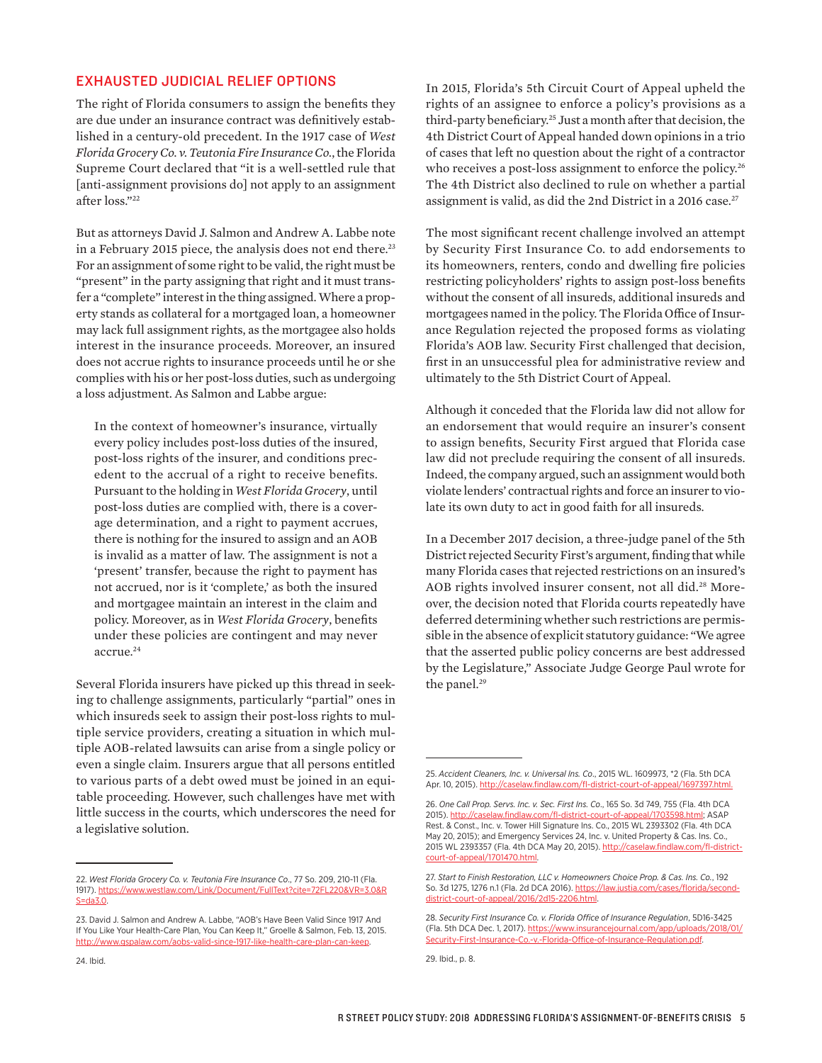## EXHAUSTED JUDICIAL RELIEF OPTIONS

The right of Florida consumers to assign the benefits they are due under an insurance contract was definitively established in a century-old precedent. In the 1917 case of *West Florida Grocery Co. v. Teutonia Fire Insurance Co.*, the Florida Supreme Court declared that "it is a well-settled rule that [anti-assignment provisions do] not apply to an assignment after loss."22

But as attorneys David J. Salmon and Andrew A. Labbe note in a February 2015 piece, the analysis does not end there.<sup>23</sup> For an assignment of some right to be valid, the right must be "present" in the party assigning that right and it must transfer a "complete" interest in the thing assigned. Where a property stands as collateral for a mortgaged loan, a homeowner may lack full assignment rights, as the mortgagee also holds interest in the insurance proceeds. Moreover, an insured does not accrue rights to insurance proceeds until he or she complies with his or her post-loss duties, such as undergoing a loss adjustment. As Salmon and Labbe argue:

In the context of homeowner's insurance, virtually every policy includes post-loss duties of the insured, post-loss rights of the insurer, and conditions precedent to the accrual of a right to receive benefits. Pursuant to the holding in *West Florida Grocery*, until post-loss duties are complied with, there is a coverage determination, and a right to payment accrues, there is nothing for the insured to assign and an AOB is invalid as a matter of law. The assignment is not a 'present' transfer, because the right to payment has not accrued, nor is it 'complete,' as both the insured and mortgagee maintain an interest in the claim and policy. Moreover, as in *West Florida Grocery*, benefits under these policies are contingent and may never accrue.<sup>24</sup>

Several Florida insurers have picked up this thread in seeking to challenge assignments, particularly "partial" ones in which insureds seek to assign their post-loss rights to multiple service providers, creating a situation in which multiple AOB-related lawsuits can arise from a single policy or even a single claim. Insurers argue that all persons entitled to various parts of a debt owed must be joined in an equitable proceeding. However, such challenges have met with little success in the courts, which underscores the need for a legislative solution.

In 2015, Florida's 5th Circuit Court of Appeal upheld the rights of an assignee to enforce a policy's provisions as a third-party beneficiary.25 Just a month after that decision, the 4th District Court of Appeal handed down opinions in a trio of cases that left no question about the right of a contractor who receives a post-loss assignment to enforce the policy.<sup>26</sup> The 4th District also declined to rule on whether a partial assignment is valid, as did the 2nd District in a 2016 case.<sup>27</sup>

The most significant recent challenge involved an attempt by Security First Insurance Co. to add endorsements to its homeowners, renters, condo and dwelling fire policies restricting policyholders' rights to assign post-loss benefits without the consent of all insureds, additional insureds and mortgagees named in the policy. The Florida Office of Insurance Regulation rejected the proposed forms as violating Florida's AOB law. Security First challenged that decision, first in an unsuccessful plea for administrative review and ultimately to the 5th District Court of Appeal.

Although it conceded that the Florida law did not allow for an endorsement that would require an insurer's consent to assign benefits, Security First argued that Florida case law did not preclude requiring the consent of all insureds. Indeed, the company argued, such an assignment would both violate lenders' contractual rights and force an insurer to violate its own duty to act in good faith for all insureds.

In a December 2017 decision, a three-judge panel of the 5th District rejected Security First's argument, finding that while many Florida cases that rejected restrictions on an insured's AOB rights involved insurer consent, not all did.<sup>28</sup> Moreover, the decision noted that Florida courts repeatedly have deferred determining whether such restrictions are permissible in the absence of explicit statutory guidance: "We agree that the asserted public policy concerns are best addressed by the Legislature," Associate Judge George Paul wrote for the panel.<sup>29</sup>

<sup>22.</sup> *West Florida Grocery Co. v. Teutonia Fire Insurance Co*., 77 So. 209, 210-11 (Fla. 1917). [https://www.westlaw.com/Link/Document/FullText?cite=72FL220&VR=3.0&R](https://www.westlaw.com/Link/Document/FullText?cite=72FL220&VR=3.0&RS=da3.0) [S=da3.0](https://www.westlaw.com/Link/Document/FullText?cite=72FL220&VR=3.0&RS=da3.0).

<sup>23.</sup> David J. Salmon and Andrew A. Labbe, "AOB's Have Been Valid Since 1917 And If You Like Your Health-Care Plan, You Can Keep It," Groelle & Salmon, Feb. 13, 2015. <http://www.gspalaw.com/aobs-valid-since-1917-like-health-care-plan-can-keep>.

<sup>25.</sup> *Accident Cleaners, Inc. v. Universal Ins. Co*., 2015 WL. 1609973, \*2 (Fla. 5th DCA Apr. 10, 2015). [http://caselaw.findlaw.com/fl-district-court-of-appeal/1697397.html.](http://caselaw.findlaw.com/fl-district-court-of-appeal/1697397.html)

<sup>26.</sup> *One Call Prop. Servs. Inc. v. Sec. First Ins. Co*., 165 So. 3d 749, 755 (Fla. 4th DCA 2015). [http://caselaw.findlaw.com/fl-district-court-of-appeal/1703598.html;](http://caselaw.findlaw.com/fl-district-court-of-appeal/1703598.html) ASAP Rest. & Const., Inc. v. Tower Hill Signature Ins. Co., 2015 WL 2393302 (Fla. 4th DCA May 20, 2015); and Emergency Services 24, Inc. v. United Property & Cas. Ins. Co., 2015 WL 2393357 (Fla. 4th DCA May 20, 2015). [http://caselaw.findlaw.com/fl-district](http://caselaw.findlaw.com/fl-district-court-of-appeal/1701470.html)[court-of-appeal/1701470.html](http://caselaw.findlaw.com/fl-district-court-of-appeal/1701470.html).

<sup>27.</sup> *Start to Finish Restoration, LLC v. Homeowners Choice Prop. & Cas. Ins. Co.*, 192 So. 3d 1275, 1276 n.1 (Fla. 2d DCA 2016). [https://law.justia.com/cases/florida/second](https://law.justia.com/cases/florida/second-district-court-of-appeal/2016/2d15-2206.html)[district-court-of-appeal/2016/2d15-2206.html.](https://law.justia.com/cases/florida/second-district-court-of-appeal/2016/2d15-2206.html)

<sup>28.</sup> *Security First Insurance Co. v. Florida Office of Insurance Regulation*, 5D16-3425 (Fla. 5th DCA Dec. 1, 2017). [https://www.insurancejournal.com/app/uploads/2018/01/](https://www.insurancejournal.com/app/uploads/2018/01/Security-First-Insurance-Co.-v.-Florida-Office-of-Insurance-Regulation.pdf) [Security-First-Insurance-Co.-v.-Florida-Office-of-Insurance-Regulation.pdf.](https://www.insurancejournal.com/app/uploads/2018/01/Security-First-Insurance-Co.-v.-Florida-Office-of-Insurance-Regulation.pdf)

<sup>29.</sup> Ibid., p. 8.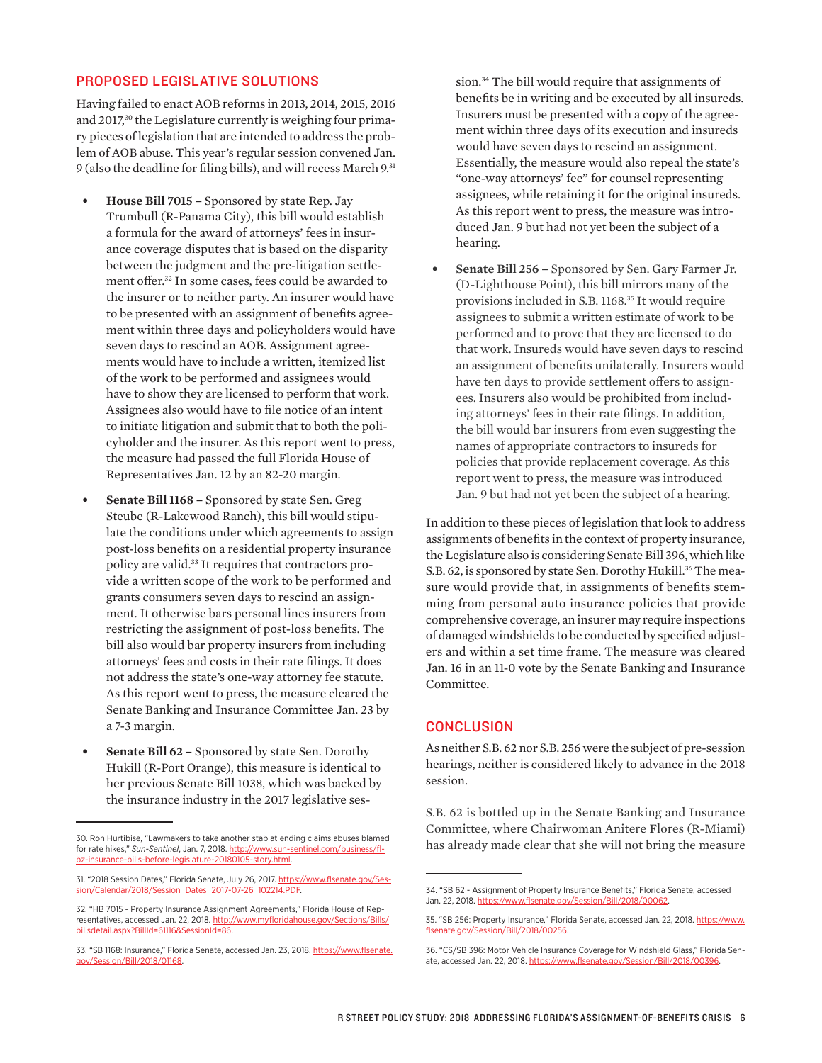## PROPOSED LEGISLATIVE SOLUTIONS

Having failed to enact AOB reforms in 2013, 2014, 2015, 2016 and 2017,<sup>30</sup> the Legislature currently is weighing four primary pieces of legislation that are intended to address the problem of AOB abuse. This year's regular session convened Jan. 9 (also the deadline for filing bills), and will recess March 9.31

- **• House Bill 7015** Sponsored by state Rep. Jay Trumbull (R-Panama City), this bill would establish a formula for the award of attorneys' fees in insurance coverage disputes that is based on the disparity between the judgment and the pre-litigation settlement offer.32 In some cases, fees could be awarded to the insurer or to neither party. An insurer would have to be presented with an assignment of benefits agreement within three days and policyholders would have seven days to rescind an AOB. Assignment agreements would have to include a written, itemized list of the work to be performed and assignees would have to show they are licensed to perform that work. Assignees also would have to file notice of an intent to initiate litigation and submit that to both the policyholder and the insurer. As this report went to press, the measure had passed the full Florida House of Representatives Jan. 12 by an 82-20 margin.
- **• Senate Bill 1168** Sponsored by state Sen. Greg Steube (R-Lakewood Ranch), this bill would stipulate the conditions under which agreements to assign post-loss benefits on a residential property insurance policy are valid.33 It requires that contractors provide a written scope of the work to be performed and grants consumers seven days to rescind an assignment. It otherwise bars personal lines insurers from restricting the assignment of post-loss benefits. The bill also would bar property insurers from including attorneys' fees and costs in their rate filings. It does not address the state's one-way attorney fee statute. As this report went to press, the measure cleared the Senate Banking and Insurance Committee Jan. 23 by a 7-3 margin.
- **• Senate Bill 62** Sponsored by state Sen. Dorothy Hukill (R-Port Orange), this measure is identical to her previous Senate Bill 1038, which was backed by the insurance industry in the 2017 legislative ses-

sion.34 The bill would require that assignments of benefits be in writing and be executed by all insureds. Insurers must be presented with a copy of the agreement within three days of its execution and insureds would have seven days to rescind an assignment. Essentially, the measure would also repeal the state's "one-way attorneys' fee" for counsel representing assignees, while retaining it for the original insureds. As this report went to press, the measure was introduced Jan. 9 but had not yet been the subject of a hearing.

**• Senate Bill 256 –** Sponsored by Sen. Gary Farmer Jr. (D-Lighthouse Point), this bill mirrors many of the provisions included in S.B. 1168.35 It would require assignees to submit a written estimate of work to be performed and to prove that they are licensed to do that work. Insureds would have seven days to rescind an assignment of benefits unilaterally. Insurers would have ten days to provide settlement offers to assignees. Insurers also would be prohibited from including attorneys' fees in their rate filings. In addition, the bill would bar insurers from even suggesting the names of appropriate contractors to insureds for policies that provide replacement coverage. As this report went to press, the measure was introduced Jan. 9 but had not yet been the subject of a hearing.

In addition to these pieces of legislation that look to address assignments of benefits in the context of property insurance, the Legislature also is considering Senate Bill 396, which like S.B. 62, is sponsored by state Sen. Dorothy Hukill.<sup>36</sup> The measure would provide that, in assignments of benefits stemming from personal auto insurance policies that provide comprehensive coverage, an insurer may require inspections of damaged windshields to be conducted by specified adjusters and within a set time frame. The measure was cleared Jan. 16 in an 11-0 vote by the Senate Banking and Insurance Committee.

### **CONCLUSION**

As neither S.B. 62 nor S.B. 256 were the subject of pre-session hearings, neither is considered likely to advance in the 2018 session.

S.B. 62 is bottled up in the Senate Banking and Insurance Committee, where Chairwoman Anitere Flores (R-Miami) has already made clear that she will not bring the measure

<sup>30.</sup> Ron Hurtibise, "Lawmakers to take another stab at ending claims abuses blamed for rate hikes," *Sun-Sentinel*, Jan. 7, 2018. [http://www.sun-sentinel.com/business/fl](http://www.sun-sentinel.com/business/fl-bz-insurance-bills-before-legislature-20180105-story.html)[bz-insurance-bills-before-legislature-20180105-story.html](http://www.sun-sentinel.com/business/fl-bz-insurance-bills-before-legislature-20180105-story.html).

<sup>31. &</sup>quot;2018 Session Dates," Florida Senate, July 26, 2017. [https://www.flsenate.gov/Ses](https://www.flsenate.gov/Session/Calendar/2018/Session_Dates_2017-07-26_102214.PDF)[sion/Calendar/2018/Session\\_Dates\\_2017-07-26\\_102214.PDF.](https://www.flsenate.gov/Session/Calendar/2018/Session_Dates_2017-07-26_102214.PDF)

<sup>32. &</sup>quot;HB 7015 - Property Insurance Assignment Agreements," Florida House of Representatives, accessed Jan. 22, 2018. http://www.myfloridahouse.gov/Sections/Bil [billsdetail.aspx?BillId=61116&SessionId=86](http://www.myfloridahouse.gov/Sections/Bills/billsdetail.aspx?BillId=61116&SessionId=86).

<sup>33. &</sup>quot;SB 1168: Insurance," Florida Senate, accessed Jan. 23, 2018. [https://www.flsenate.](https://www.flsenate.gov/Session/Bill/2018/01168) [gov/Session/Bill/2018/01168.](https://www.flsenate.gov/Session/Bill/2018/01168)

<sup>34. &</sup>quot;SB 62 - Assignment of Property Insurance Benefits," Florida Senate, accessed Jan. 22, 2018. [https://www.flsenate.gov/Session/Bill/2018/00062.](https://www.flsenate.gov/Session/Bill/2018/00062)

<sup>35. &</sup>quot;SB 256: Property Insurance," Florida Senate, accessed Jan. 22, 2018. [https://www.](https://www.flsenate.gov/Session/Bill/2018/00256) [flsenate.gov/Session/Bill/2018/00256](https://www.flsenate.gov/Session/Bill/2018/00256).

<sup>36. &</sup>quot;CS/SB 396: Motor Vehicle Insurance Coverage for Windshield Glass," Florida Senate, accessed Jan. 22, 2018. [https://www.flsenate.gov/Session/Bill/2018/00396.](https://www.flsenate.gov/Session/Bill/2018/00396)